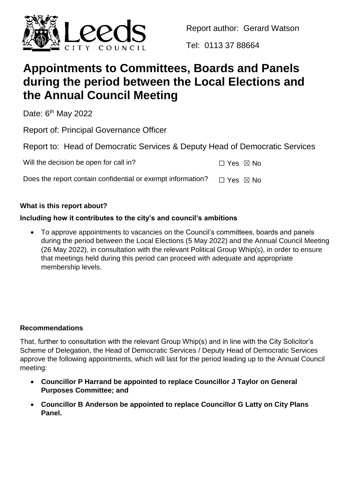

Report author: Gerard Watson

Tel: 0113 37 88664

# **Appointments to Committees, Boards and Panels during the period between the Local Elections and the Annual Council Meeting**

Date: 6<sup>th</sup> May 2022

Report of: Principal Governance Officer

Report to: Head of Democratic Services & Deputy Head of Democratic Services

Will the decision be open for call in?

| $\Box$ Yes $\boxtimes$ No |
|---------------------------|
|---------------------------|

Does the report contain confidential or exempt information?  $\Box$  Yes  $\boxtimes$  No

# **What is this report about?**

# **Including how it contributes to the city's and council's ambitions**

 To approve appointments to vacancies on the Council's committees, boards and panels during the period between the Local Elections (5 May 2022) and the Annual Council Meeting (26 May 2022), in consultation with the relevant Political Group Whip(s), in order to ensure that meetings held during this period can proceed with adequate and appropriate membership levels.

### **Recommendations**

That, further to consultation with the relevant Group Whip(s) and in line with the City Solicitor's Scheme of Delegation, the Head of Democratic Services / Deputy Head of Democratic Services approve the following appointments, which will last for the period leading up to the Annual Council meeting:

- **Councillor P Harrand be appointed to replace Councillor J Taylor on General Purposes Committee; and**
- **Councillor B Anderson be appointed to replace Councillor G Latty on City Plans Panel.**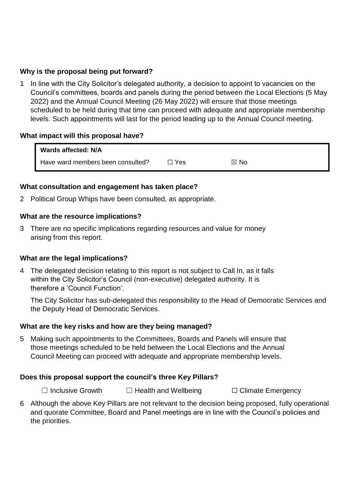#### **Why is the proposal being put forward?**

1 In line with the City Solicitor's delegated authority, a decision to appoint to vacancies on the Council's committees, boards and panels during the period between the Local Elections (5 May 2022) and the Annual Council Meeting (26 May 2022) will ensure that those meetings scheduled to be held during that time can proceed with adequate and appropriate membership levels. Such appointments will last for the period leading up to the Annual Council meeting.

#### **What impact will this proposal have?**

| Wards affected: N/A               |            |                |
|-----------------------------------|------------|----------------|
| Have ward members been consulted? | $\Box$ Yes | $\boxtimes$ No |

#### **What consultation and engagement has taken place?**

2 Political Group Whips have been consulted, as appropriate.

#### **What are the resource implications?**

3 There are no specific implications regarding resources and value for money arising from this report.

#### **What are the legal implications?**

4 The delegated decision relating to this report is not subject to Call In, as it falls within the City Solicitor's Council (non-executive) delegated authority. It is therefore a 'Council Function'.

The City Solicitor has sub-delegated this responsibility to the Head of Democratic Services and the Deputy Head of Democratic Services.

#### **What are the key risks and how are they being managed?**

5 Making such appointments to the Committees, Boards and Panels will ensure that those meetings scheduled to be held between the Local Elections and the Annual Council Meeting can proceed with adequate and appropriate membership levels.

#### **Does this proposal support the council's three Key Pillars?**

☐ Inclusive Growth ☐ Health and Wellbeing ☐ Climate Emergency

6 Although the above Key Pillars are not relevant to the decision being proposed, fully operational and quorate Committee, Board and Panel meetings are in line with the Council's policies and the priorities.